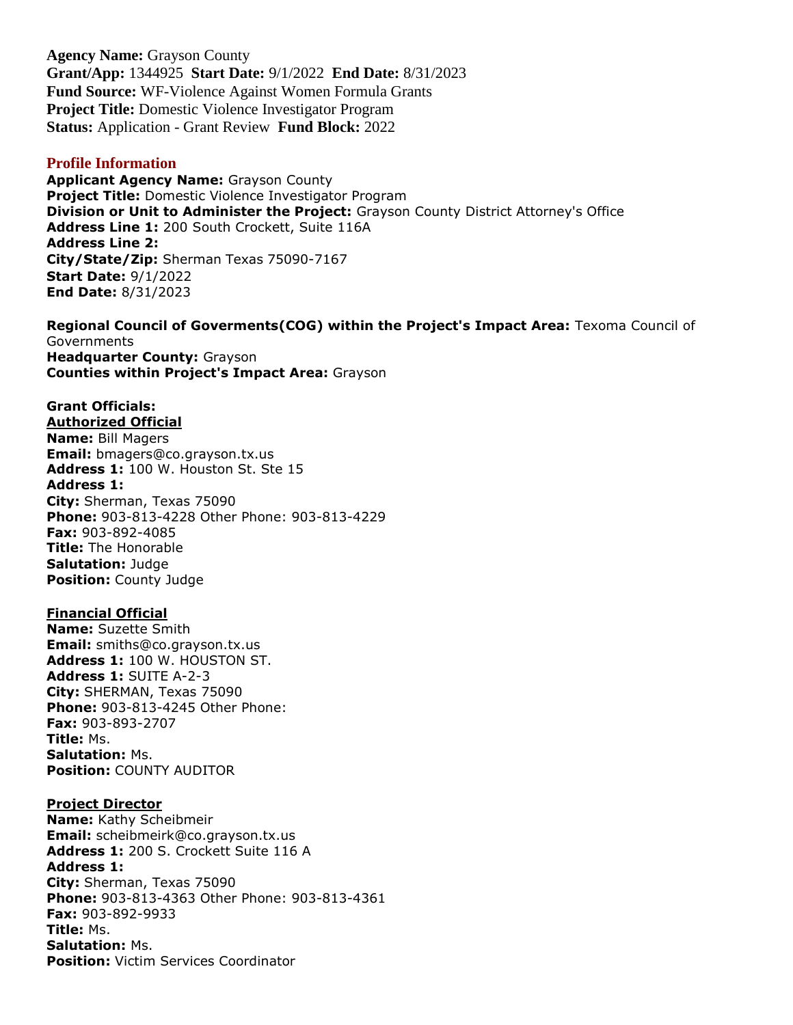**Agency Name:** Grayson County **Grant/App:** 1344925 **Start Date:** 9/1/2022 **End Date:** 8/31/2023 **Fund Source:** WF-Violence Against Women Formula Grants **Project Title:** Domestic Violence Investigator Program **Status:** Application - Grant Review **Fund Block:** 2022

#### **Profile Information**

**Applicant Agency Name:** Grayson County **Project Title:** Domestic Violence Investigator Program **Division or Unit to Administer the Project:** Grayson County District Attorney's Office **Address Line 1:** 200 South Crockett, Suite 116A **Address Line 2: City/State/Zip:** Sherman Texas 75090-7167 **Start Date:** 9/1/2022 **End Date:** 8/31/2023

**Regional Council of Goverments(COG) within the Project's Impact Area:** Texoma Council of **Governments Headquarter County:** Grayson **Counties within Project's Impact Area:** Grayson

#### **Grant Officials: Authorized Official**

**Name:** Bill Magers **Email:** bmagers@co.grayson.tx.us **Address 1:** 100 W. Houston St. Ste 15 **Address 1: City:** Sherman, Texas 75090 **Phone:** 903-813-4228 Other Phone: 903-813-4229 **Fax:** 903-892-4085 **Title:** The Honorable **Salutation:** Judge **Position:** County Judge

# **Financial Official**

**Name:** Suzette Smith **Email:** smiths@co.grayson.tx.us **Address 1:** 100 W. HOUSTON ST. **Address 1:** SUITE A-2-3 **City:** SHERMAN, Texas 75090 **Phone:** 903-813-4245 Other Phone: **Fax:** 903-893-2707 **Title:** Ms. **Salutation:** Ms. **Position:** COUNTY AUDITOR

#### **Project Director**

**Name:** Kathy Scheibmeir **Email:** scheibmeirk@co.grayson.tx.us **Address 1:** 200 S. Crockett Suite 116 A **Address 1: City:** Sherman, Texas 75090 **Phone:** 903-813-4363 Other Phone: 903-813-4361 **Fax:** 903-892-9933 **Title:** Ms. **Salutation:** Ms. **Position:** Victim Services Coordinator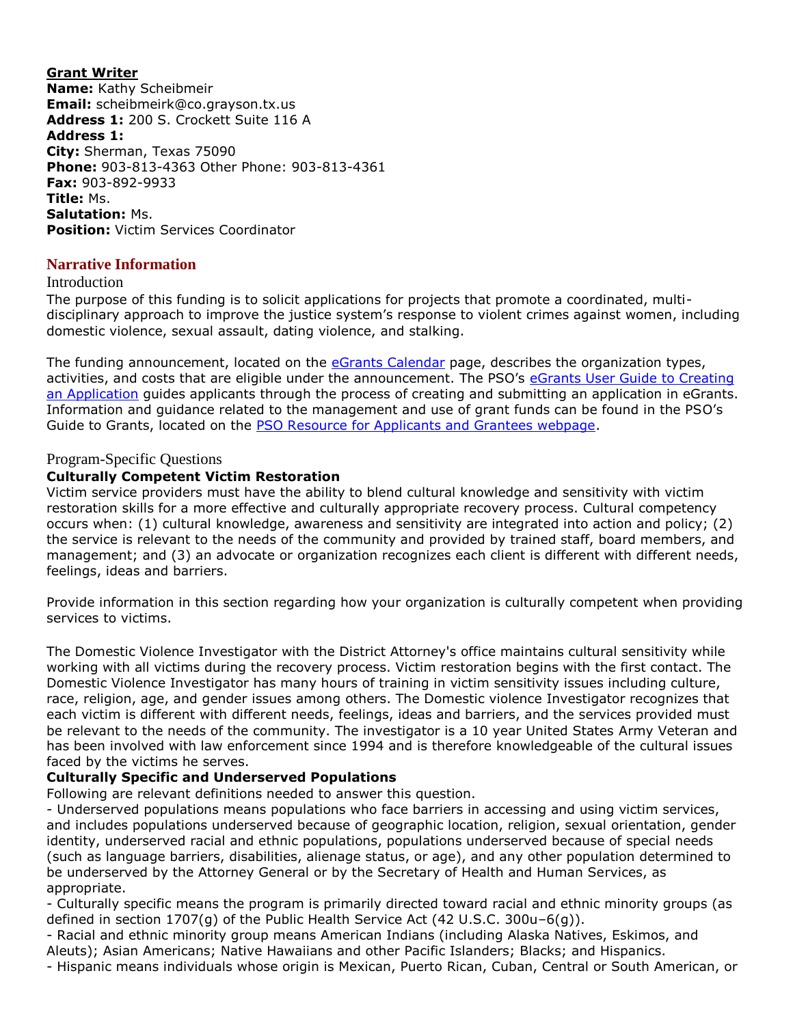**Grant Writer Name:** Kathy Scheibmeir **Email:** scheibmeirk@co.grayson.tx.us **Address 1:** 200 S. Crockett Suite 116 A **Address 1: City:** Sherman, Texas 75090 **Phone:** 903-813-4363 Other Phone: 903-813-4361 **Fax:** 903-892-9933 **Title:** Ms. **Salutation:** Ms. **Position:** Victim Services Coordinator

# **Narrative Information**

#### Introduction

The purpose of this funding is to solicit applications for projects that promote a coordinated, multidisciplinary approach to improve the justice system's response to violent crimes against women, including domestic violence, sexual assault, dating violence, and stalking.

The funding announcement, located on the [eGrants Calendar](https://egrants.gov.texas.gov/fundopp.aspx) page, describes the organization types, activities, and costs that are eligible under the announcement. The PSO's eGrants User Guide to Creating [an Application](file:///C:/Users/mharp/fundopp.aspx%3fname=eGrants_Guide_to_Creating_an_Application_12.2020.pdf&type=2) guides applicants through the process of creating and submitting an application in eGrants. Information and guidance related to the management and use of grant funds can be found in the PSO's Guide to Grants, located on the **PSO Resource for Applicants and Grantees webpage**.

#### Program-Specific Questions

#### **Culturally Competent Victim Restoration**

Victim service providers must have the ability to blend cultural knowledge and sensitivity with victim restoration skills for a more effective and culturally appropriate recovery process. Cultural competency occurs when: (1) cultural knowledge, awareness and sensitivity are integrated into action and policy; (2) the service is relevant to the needs of the community and provided by trained staff, board members, and management; and (3) an advocate or organization recognizes each client is different with different needs, feelings, ideas and barriers.

Provide information in this section regarding how your organization is culturally competent when providing services to victims.

The Domestic Violence Investigator with the District Attorney's office maintains cultural sensitivity while working with all victims during the recovery process. Victim restoration begins with the first contact. The Domestic Violence Investigator has many hours of training in victim sensitivity issues including culture, race, religion, age, and gender issues among others. The Domestic violence Investigator recognizes that each victim is different with different needs, feelings, ideas and barriers, and the services provided must be relevant to the needs of the community. The investigator is a 10 year United States Army Veteran and has been involved with law enforcement since 1994 and is therefore knowledgeable of the cultural issues faced by the victims he serves.

#### **Culturally Specific and Underserved Populations**

Following are relevant definitions needed to answer this question.

- Underserved populations means populations who face barriers in accessing and using victim services, and includes populations underserved because of geographic location, religion, sexual orientation, gender identity, underserved racial and ethnic populations, populations underserved because of special needs (such as language barriers, disabilities, alienage status, or age), and any other population determined to be underserved by the Attorney General or by the Secretary of Health and Human Services, as appropriate.

- Culturally specific means the program is primarily directed toward racial and ethnic minority groups (as defined in section 1707(g) of the Public Health Service Act (42 U.S.C. 300u–6(g)).

- Racial and ethnic minority group means American Indians (including Alaska Natives, Eskimos, and Aleuts); Asian Americans; Native Hawaiians and other Pacific Islanders; Blacks; and Hispanics.

- Hispanic means individuals whose origin is Mexican, Puerto Rican, Cuban, Central or South American, or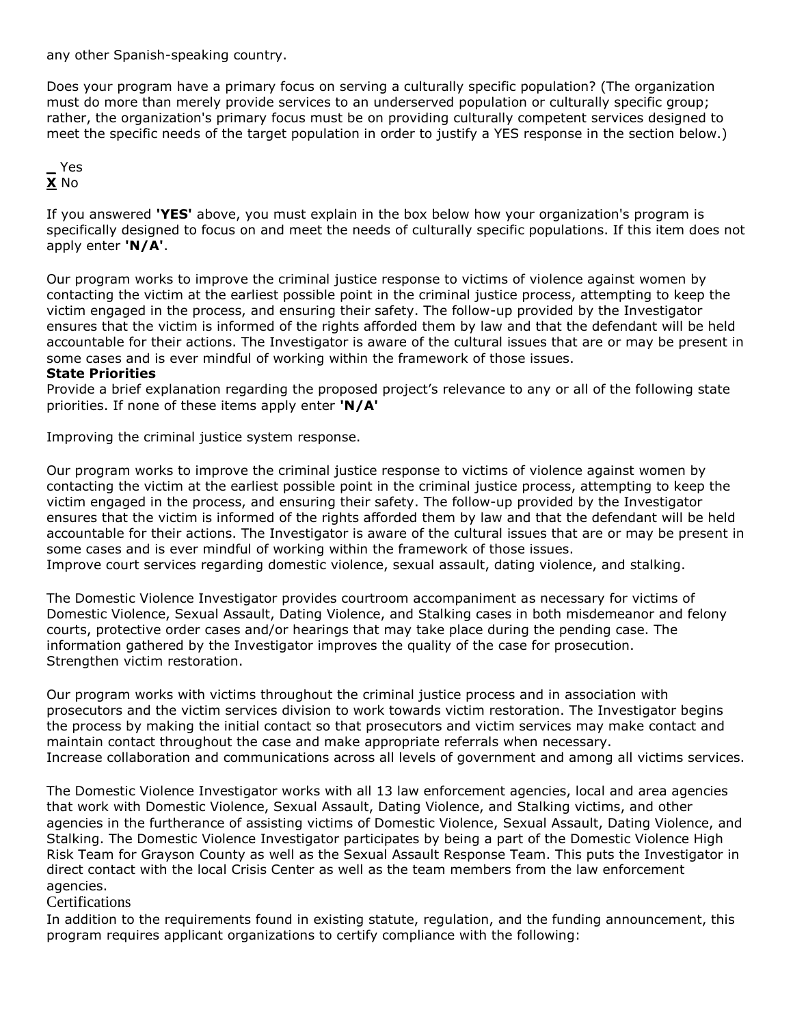any other Spanish-speaking country.

Does your program have a primary focus on serving a culturally specific population? (The organization must do more than merely provide services to an underserved population or culturally specific group; rather, the organization's primary focus must be on providing culturally competent services designed to meet the specific needs of the target population in order to justify a YES response in the section below.)

### **\_** Yes **X** No

If you answered **'YES'** above, you must explain in the box below how your organization's program is specifically designed to focus on and meet the needs of culturally specific populations. If this item does not apply enter **'N/A'**.

Our program works to improve the criminal justice response to victims of violence against women by contacting the victim at the earliest possible point in the criminal justice process, attempting to keep the victim engaged in the process, and ensuring their safety. The follow-up provided by the Investigator ensures that the victim is informed of the rights afforded them by law and that the defendant will be held accountable for their actions. The Investigator is aware of the cultural issues that are or may be present in some cases and is ever mindful of working within the framework of those issues.

#### **State Priorities**

Provide a brief explanation regarding the proposed project's relevance to any or all of the following state priorities. If none of these items apply enter **'N/A'**

Improving the criminal justice system response.

Our program works to improve the criminal justice response to victims of violence against women by contacting the victim at the earliest possible point in the criminal justice process, attempting to keep the victim engaged in the process, and ensuring their safety. The follow-up provided by the Investigator ensures that the victim is informed of the rights afforded them by law and that the defendant will be held accountable for their actions. The Investigator is aware of the cultural issues that are or may be present in some cases and is ever mindful of working within the framework of those issues. Improve court services regarding domestic violence, sexual assault, dating violence, and stalking.

The Domestic Violence Investigator provides courtroom accompaniment as necessary for victims of Domestic Violence, Sexual Assault, Dating Violence, and Stalking cases in both misdemeanor and felony courts, protective order cases and/or hearings that may take place during the pending case. The information gathered by the Investigator improves the quality of the case for prosecution. Strengthen victim restoration.

Our program works with victims throughout the criminal justice process and in association with prosecutors and the victim services division to work towards victim restoration. The Investigator begins the process by making the initial contact so that prosecutors and victim services may make contact and maintain contact throughout the case and make appropriate referrals when necessary. Increase collaboration and communications across all levels of government and among all victims services.

The Domestic Violence Investigator works with all 13 law enforcement agencies, local and area agencies that work with Domestic Violence, Sexual Assault, Dating Violence, and Stalking victims, and other agencies in the furtherance of assisting victims of Domestic Violence, Sexual Assault, Dating Violence, and Stalking. The Domestic Violence Investigator participates by being a part of the Domestic Violence High Risk Team for Grayson County as well as the Sexual Assault Response Team. This puts the Investigator in direct contact with the local Crisis Center as well as the team members from the law enforcement agencies.

#### Certifications

In addition to the requirements found in existing statute, regulation, and the funding announcement, this program requires applicant organizations to certify compliance with the following: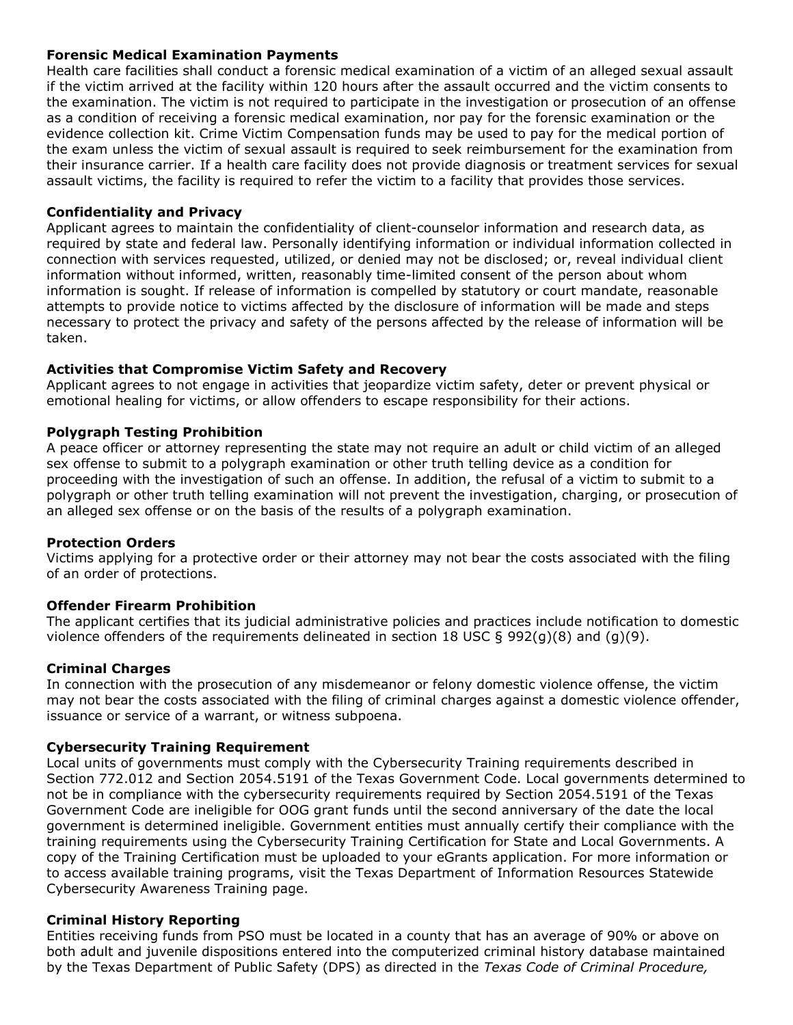#### **Forensic Medical Examination Payments**

Health care facilities shall conduct a forensic medical examination of a victim of an alleged sexual assault if the victim arrived at the facility within 120 hours after the assault occurred and the victim consents to the examination. The victim is not required to participate in the investigation or prosecution of an offense as a condition of receiving a forensic medical examination, nor pay for the forensic examination or the evidence collection kit. Crime Victim Compensation funds may be used to pay for the medical portion of the exam unless the victim of sexual assault is required to seek reimbursement for the examination from their insurance carrier. If a health care facility does not provide diagnosis or treatment services for sexual assault victims, the facility is required to refer the victim to a facility that provides those services.

#### **Confidentiality and Privacy**

Applicant agrees to maintain the confidentiality of client-counselor information and research data, as required by state and federal law. Personally identifying information or individual information collected in connection with services requested, utilized, or denied may not be disclosed; or, reveal individual client information without informed, written, reasonably time-limited consent of the person about whom information is sought. If release of information is compelled by statutory or court mandate, reasonable attempts to provide notice to victims affected by the disclosure of information will be made and steps necessary to protect the privacy and safety of the persons affected by the release of information will be taken.

#### **Activities that Compromise Victim Safety and Recovery**

Applicant agrees to not engage in activities that jeopardize victim safety, deter or prevent physical or emotional healing for victims, or allow offenders to escape responsibility for their actions.

#### **Polygraph Testing Prohibition**

A peace officer or attorney representing the state may not require an adult or child victim of an alleged sex offense to submit to a polygraph examination or other truth telling device as a condition for proceeding with the investigation of such an offense. In addition, the refusal of a victim to submit to a polygraph or other truth telling examination will not prevent the investigation, charging, or prosecution of an alleged sex offense or on the basis of the results of a polygraph examination.

#### **Protection Orders**

Victims applying for a protective order or their attorney may not bear the costs associated with the filing of an order of protections.

#### **Offender Firearm Prohibition**

The applicant certifies that its judicial administrative policies and practices include notification to domestic violence offenders of the requirements delineated in section 18 USC  $\S$  992(q)(8) and (q)(9).

#### **Criminal Charges**

In connection with the prosecution of any misdemeanor or felony domestic violence offense, the victim may not bear the costs associated with the filing of criminal charges against a domestic violence offender, issuance or service of a warrant, or witness subpoena.

#### **Cybersecurity Training Requirement**

Local units of governments must comply with the Cybersecurity Training requirements described in Section 772.012 and Section 2054.5191 of the Texas Government Code. Local governments determined to not be in compliance with the cybersecurity requirements required by Section 2054.5191 of the Texas Government Code are ineligible for OOG grant funds until the second anniversary of the date the local government is determined ineligible. Government entities must annually certify their compliance with the training requirements using the Cybersecurity Training Certification for State and Local Governments. A copy of the Training Certification must be uploaded to your eGrants application. For more information or to access available training programs, visit the Texas Department of Information Resources Statewide Cybersecurity Awareness Training page.

#### **Criminal History Reporting**

Entities receiving funds from PSO must be located in a county that has an average of 90% or above on both adult and juvenile dispositions entered into the computerized criminal history database maintained by the Texas Department of Public Safety (DPS) as directed in the *Texas Code of Criminal Procedure,*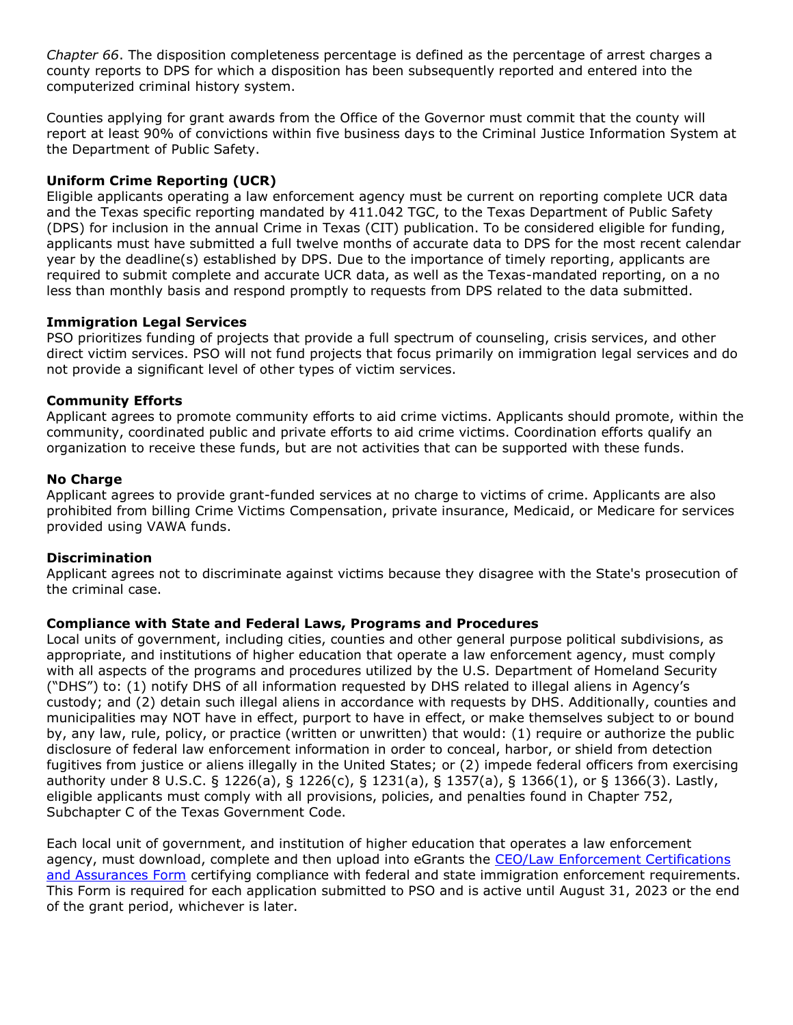*Chapter 66*. The disposition completeness percentage is defined as the percentage of arrest charges a county reports to DPS for which a disposition has been subsequently reported and entered into the computerized criminal history system.

Counties applying for grant awards from the Office of the Governor must commit that the county will report at least 90% of convictions within five business days to the Criminal Justice Information System at the Department of Public Safety.

# **Uniform Crime Reporting (UCR)**

Eligible applicants operating a law enforcement agency must be current on reporting complete UCR data and the Texas specific reporting mandated by 411.042 TGC, to the Texas Department of Public Safety (DPS) for inclusion in the annual Crime in Texas (CIT) publication. To be considered eligible for funding, applicants must have submitted a full twelve months of accurate data to DPS for the most recent calendar year by the deadline(s) established by DPS. Due to the importance of timely reporting, applicants are required to submit complete and accurate UCR data, as well as the Texas-mandated reporting, on a no less than monthly basis and respond promptly to requests from DPS related to the data submitted.

#### **Immigration Legal Services**

PSO prioritizes funding of projects that provide a full spectrum of counseling, crisis services, and other direct victim services. PSO will not fund projects that focus primarily on immigration legal services and do not provide a significant level of other types of victim services.

### **Community Efforts**

Applicant agrees to promote community efforts to aid crime victims. Applicants should promote, within the community, coordinated public and private efforts to aid crime victims. Coordination efforts qualify an organization to receive these funds, but are not activities that can be supported with these funds.

### **No Charge**

Applicant agrees to provide grant-funded services at no charge to victims of crime. Applicants are also prohibited from billing Crime Victims Compensation, private insurance, Medicaid, or Medicare for services provided using VAWA funds.

#### **Discrimination**

Applicant agrees not to discriminate against victims because they disagree with the State's prosecution of the criminal case.

#### **Compliance with State and Federal Laws, Programs and Procedures**

Local units of government, including cities, counties and other general purpose political subdivisions, as appropriate, and institutions of higher education that operate a law enforcement agency, must comply with all aspects of the programs and procedures utilized by the U.S. Department of Homeland Security ("DHS") to: (1) notify DHS of all information requested by DHS related to illegal aliens in Agency's custody; and (2) detain such illegal aliens in accordance with requests by DHS. Additionally, counties and municipalities may NOT have in effect, purport to have in effect, or make themselves subject to or bound by, any law, rule, policy, or practice (written or unwritten) that would: (1) require or authorize the public disclosure of federal law enforcement information in order to conceal, harbor, or shield from detection fugitives from justice or aliens illegally in the United States; or (2) impede federal officers from exercising authority under 8 U.S.C. § 1226(a), § 1226(c), § 1231(a), § 1357(a), § 1366(1), or § 1366(3). Lastly, eligible applicants must comply with all provisions, policies, and penalties found in Chapter 752, Subchapter C of the Texas Government Code.

Each local unit of government, and institution of higher education that operates a law enforcement agency, must download, complete and then upload into eGrants the [CEO/Law Enforcement Certifications](file:///C:/Users/mharp/fundopp.aspx%3fname=CEO-LE_Cert-Assurances_Form-Blank.pdf&type=2)  [and Assurances Form](file:///C:/Users/mharp/fundopp.aspx%3fname=CEO-LE_Cert-Assurances_Form-Blank.pdf&type=2) certifying compliance with federal and state immigration enforcement requirements. This Form is required for each application submitted to PSO and is active until August 31, 2023 or the end of the grant period, whichever is later.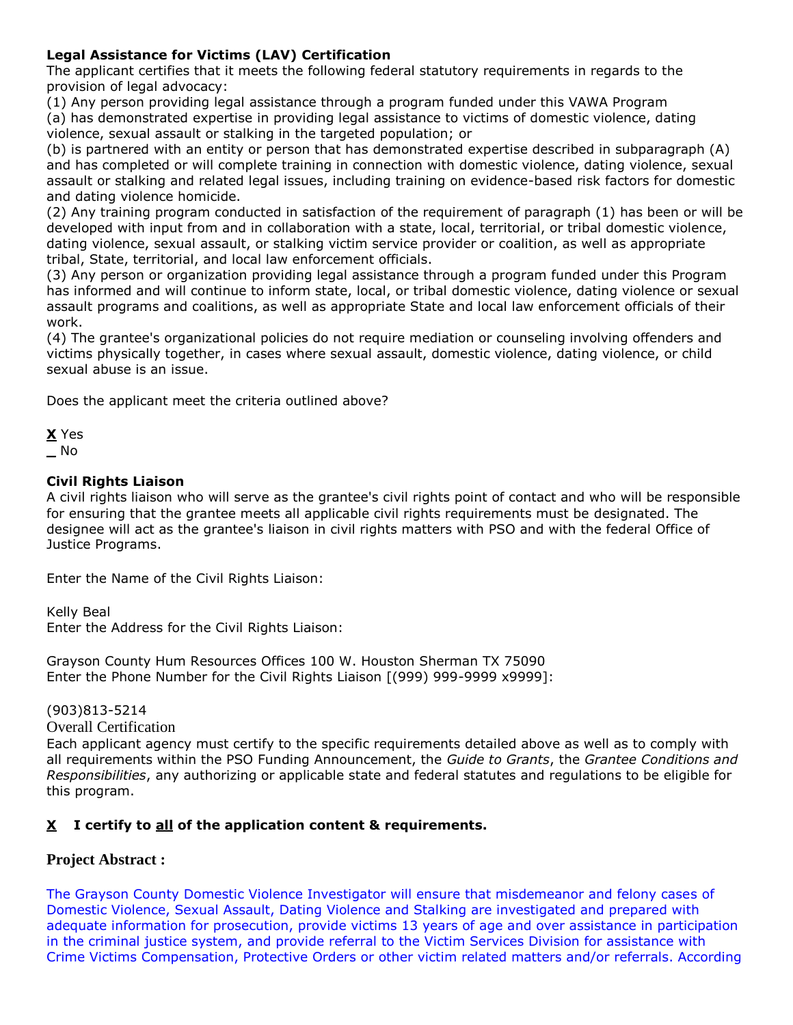# **Legal Assistance for Victims (LAV) Certification**

The applicant certifies that it meets the following federal statutory requirements in regards to the provision of legal advocacy:

(1) Any person providing legal assistance through a program funded under this VAWA Program

(a) has demonstrated expertise in providing legal assistance to victims of domestic violence, dating violence, sexual assault or stalking in the targeted population; or

(b) is partnered with an entity or person that has demonstrated expertise described in subparagraph (A) and has completed or will complete training in connection with domestic violence, dating violence, sexual assault or stalking and related legal issues, including training on evidence-based risk factors for domestic and dating violence homicide.

(2) Any training program conducted in satisfaction of the requirement of paragraph (1) has been or will be developed with input from and in collaboration with a state, local, territorial, or tribal domestic violence, dating violence, sexual assault, or stalking victim service provider or coalition, as well as appropriate tribal, State, territorial, and local law enforcement officials.

(3) Any person or organization providing legal assistance through a program funded under this Program has informed and will continue to inform state, local, or tribal domestic violence, dating violence or sexual assault programs and coalitions, as well as appropriate State and local law enforcement officials of their work.

(4) The grantee's organizational policies do not require mediation or counseling involving offenders and victims physically together, in cases where sexual assault, domestic violence, dating violence, or child sexual abuse is an issue.

Does the applicant meet the criteria outlined above?

**X** Yes **\_** No

# **Civil Rights Liaison**

A civil rights liaison who will serve as the grantee's civil rights point of contact and who will be responsible for ensuring that the grantee meets all applicable civil rights requirements must be designated. The designee will act as the grantee's liaison in civil rights matters with PSO and with the federal Office of Justice Programs.

Enter the Name of the Civil Rights Liaison:

Kelly Beal

Enter the Address for the Civil Rights Liaison:

Grayson County Hum Resources Offices 100 W. Houston Sherman TX 75090 Enter the Phone Number for the Civil Rights Liaison [(999) 999-9999 x9999]:

(903)813-5214

Overall Certification

Each applicant agency must certify to the specific requirements detailed above as well as to comply with all requirements within the PSO Funding Announcement, the *Guide to Grants*, the *Grantee Conditions and Responsibilities*, any authorizing or applicable state and federal statutes and regulations to be eligible for this program.

# **X I certify to all of the application content & requirements.**

# **Project Abstract :**

The Grayson County Domestic Violence Investigator will ensure that misdemeanor and felony cases of Domestic Violence, Sexual Assault, Dating Violence and Stalking are investigated and prepared with adequate information for prosecution, provide victims 13 years of age and over assistance in participation in the criminal justice system, and provide referral to the Victim Services Division for assistance with Crime Victims Compensation, Protective Orders or other victim related matters and/or referrals. According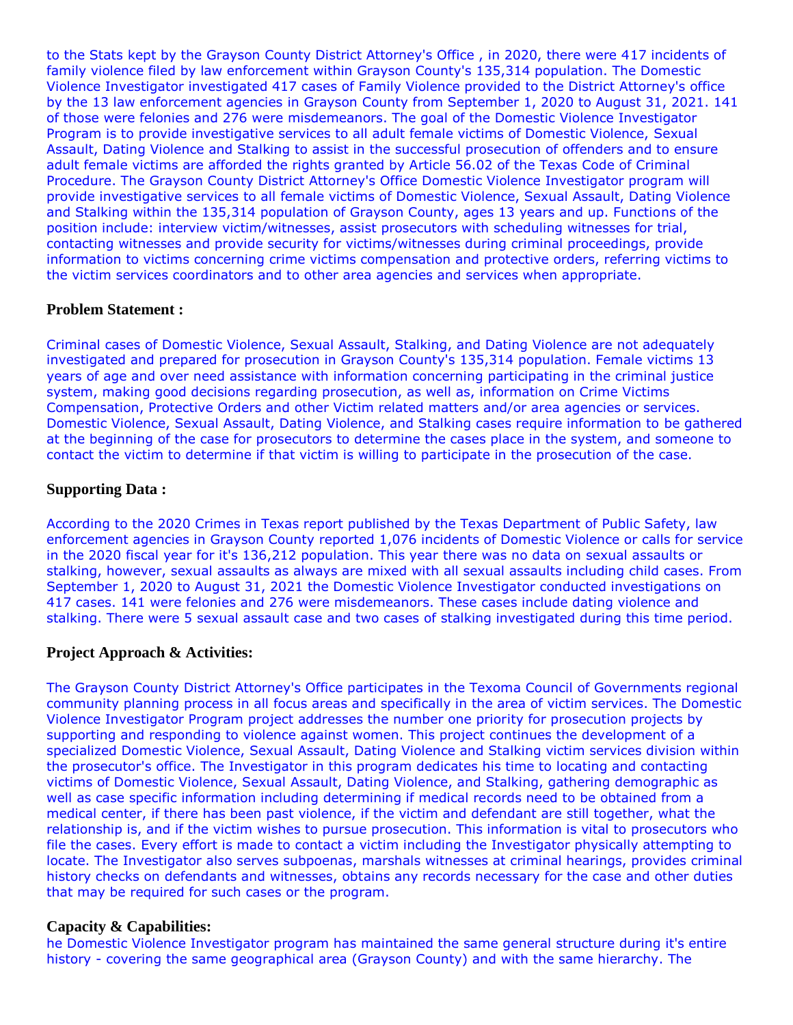to the Stats kept by the Grayson County District Attorney's Office , in 2020, there were 417 incidents of family violence filed by law enforcement within Grayson County's 135,314 population. The Domestic Violence Investigator investigated 417 cases of Family Violence provided to the District Attorney's office by the 13 law enforcement agencies in Grayson County from September 1, 2020 to August 31, 2021. 141 of those were felonies and 276 were misdemeanors. The goal of the Domestic Violence Investigator Program is to provide investigative services to all adult female victims of Domestic Violence, Sexual Assault, Dating Violence and Stalking to assist in the successful prosecution of offenders and to ensure adult female victims are afforded the rights granted by Article 56.02 of the Texas Code of Criminal Procedure. The Grayson County District Attorney's Office Domestic Violence Investigator program will provide investigative services to all female victims of Domestic Violence, Sexual Assault, Dating Violence and Stalking within the 135,314 population of Grayson County, ages 13 years and up. Functions of the position include: interview victim/witnesses, assist prosecutors with scheduling witnesses for trial, contacting witnesses and provide security for victims/witnesses during criminal proceedings, provide information to victims concerning crime victims compensation and protective orders, referring victims to the victim services coordinators and to other area agencies and services when appropriate.

#### **Problem Statement :**

Criminal cases of Domestic Violence, Sexual Assault, Stalking, and Dating Violence are not adequately investigated and prepared for prosecution in Grayson County's 135,314 population. Female victims 13 years of age and over need assistance with information concerning participating in the criminal justice system, making good decisions regarding prosecution, as well as, information on Crime Victims Compensation, Protective Orders and other Victim related matters and/or area agencies or services. Domestic Violence, Sexual Assault, Dating Violence, and Stalking cases require information to be gathered at the beginning of the case for prosecutors to determine the cases place in the system, and someone to contact the victim to determine if that victim is willing to participate in the prosecution of the case.

# **Supporting Data :**

According to the 2020 Crimes in Texas report published by the Texas Department of Public Safety, law enforcement agencies in Grayson County reported 1,076 incidents of Domestic Violence or calls for service in the 2020 fiscal year for it's 136,212 population. This year there was no data on sexual assaults or stalking, however, sexual assaults as always are mixed with all sexual assaults including child cases. From September 1, 2020 to August 31, 2021 the Domestic Violence Investigator conducted investigations on 417 cases. 141 were felonies and 276 were misdemeanors. These cases include dating violence and stalking. There were 5 sexual assault case and two cases of stalking investigated during this time period.

#### **Project Approach & Activities:**

The Grayson County District Attorney's Office participates in the Texoma Council of Governments regional community planning process in all focus areas and specifically in the area of victim services. The Domestic Violence Investigator Program project addresses the number one priority for prosecution projects by supporting and responding to violence against women. This project continues the development of a specialized Domestic Violence, Sexual Assault, Dating Violence and Stalking victim services division within the prosecutor's office. The Investigator in this program dedicates his time to locating and contacting victims of Domestic Violence, Sexual Assault, Dating Violence, and Stalking, gathering demographic as well as case specific information including determining if medical records need to be obtained from a medical center, if there has been past violence, if the victim and defendant are still together, what the relationship is, and if the victim wishes to pursue prosecution. This information is vital to prosecutors who file the cases. Every effort is made to contact a victim including the Investigator physically attempting to locate. The Investigator also serves subpoenas, marshals witnesses at criminal hearings, provides criminal history checks on defendants and witnesses, obtains any records necessary for the case and other duties that may be required for such cases or the program.

#### **Capacity & Capabilities:**

he Domestic Violence Investigator program has maintained the same general structure during it's entire history - covering the same geographical area (Grayson County) and with the same hierarchy. The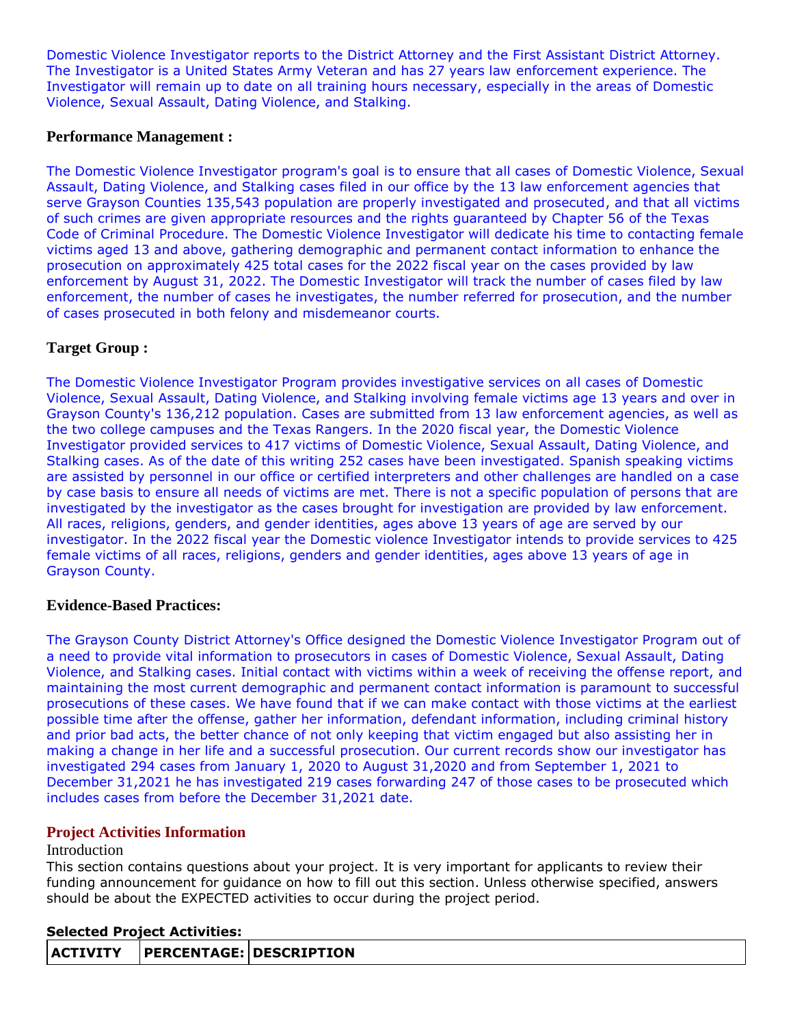Domestic Violence Investigator reports to the District Attorney and the First Assistant District Attorney. The Investigator is a United States Army Veteran and has 27 years law enforcement experience. The Investigator will remain up to date on all training hours necessary, especially in the areas of Domestic Violence, Sexual Assault, Dating Violence, and Stalking.

### **Performance Management :**

The Domestic Violence Investigator program's goal is to ensure that all cases of Domestic Violence, Sexual Assault, Dating Violence, and Stalking cases filed in our office by the 13 law enforcement agencies that serve Grayson Counties 135,543 population are properly investigated and prosecuted, and that all victims of such crimes are given appropriate resources and the rights guaranteed by Chapter 56 of the Texas Code of Criminal Procedure. The Domestic Violence Investigator will dedicate his time to contacting female victims aged 13 and above, gathering demographic and permanent contact information to enhance the prosecution on approximately 425 total cases for the 2022 fiscal year on the cases provided by law enforcement by August 31, 2022. The Domestic Investigator will track the number of cases filed by law enforcement, the number of cases he investigates, the number referred for prosecution, and the number of cases prosecuted in both felony and misdemeanor courts.

# **Target Group :**

The Domestic Violence Investigator Program provides investigative services on all cases of Domestic Violence, Sexual Assault, Dating Violence, and Stalking involving female victims age 13 years and over in Grayson County's 136,212 population. Cases are submitted from 13 law enforcement agencies, as well as the two college campuses and the Texas Rangers. In the 2020 fiscal year, the Domestic Violence Investigator provided services to 417 victims of Domestic Violence, Sexual Assault, Dating Violence, and Stalking cases. As of the date of this writing 252 cases have been investigated. Spanish speaking victims are assisted by personnel in our office or certified interpreters and other challenges are handled on a case by case basis to ensure all needs of victims are met. There is not a specific population of persons that are investigated by the investigator as the cases brought for investigation are provided by law enforcement. All races, religions, genders, and gender identities, ages above 13 years of age are served by our investigator. In the 2022 fiscal year the Domestic violence Investigator intends to provide services to 425 female victims of all races, religions, genders and gender identities, ages above 13 years of age in Grayson County.

# **Evidence-Based Practices:**

The Grayson County District Attorney's Office designed the Domestic Violence Investigator Program out of a need to provide vital information to prosecutors in cases of Domestic Violence, Sexual Assault, Dating Violence, and Stalking cases. Initial contact with victims within a week of receiving the offense report, and maintaining the most current demographic and permanent contact information is paramount to successful prosecutions of these cases. We have found that if we can make contact with those victims at the earliest possible time after the offense, gather her information, defendant information, including criminal history and prior bad acts, the better chance of not only keeping that victim engaged but also assisting her in making a change in her life and a successful prosecution. Our current records show our investigator has investigated 294 cases from January 1, 2020 to August 31,2020 and from September 1, 2021 to December 31,2021 he has investigated 219 cases forwarding 247 of those cases to be prosecuted which includes cases from before the December 31,2021 date.

# **Project Activities Information**

#### Introduction

This section contains questions about your project. It is very important for applicants to review their funding announcement for guidance on how to fill out this section. Unless otherwise specified, answers should be about the EXPECTED activities to occur during the project period.

# **Selected Project Activities:**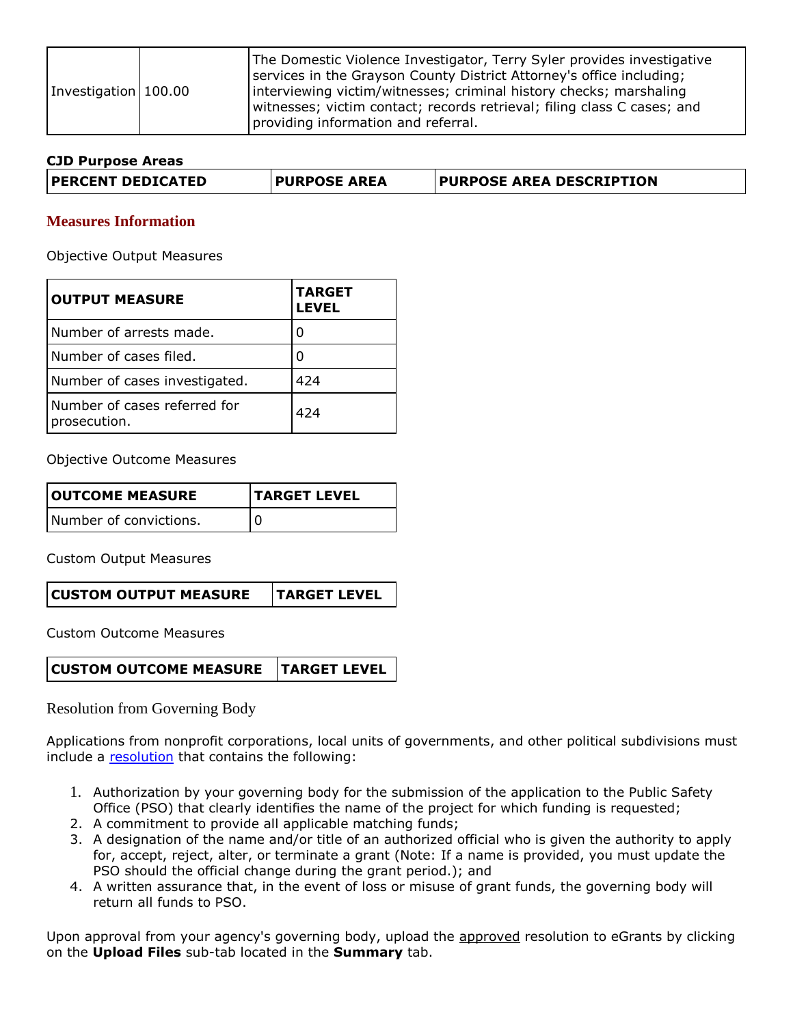| Investigation 100.00 |  | The Domestic Violence Investigator, Terry Syler provides investigative<br>services in the Grayson County District Attorney's office including;<br>interviewing victim/witnesses; criminal history checks; marshaling<br>witnesses; victim contact; records retrieval; filing class C cases; and<br>providing information and referral. |
|----------------------|--|----------------------------------------------------------------------------------------------------------------------------------------------------------------------------------------------------------------------------------------------------------------------------------------------------------------------------------------|
|----------------------|--|----------------------------------------------------------------------------------------------------------------------------------------------------------------------------------------------------------------------------------------------------------------------------------------------------------------------------------------|

#### **CJD Purpose Areas**

| <b>PURPOSE AREA DESCRIPTION</b><br><b>PERCENT DEDICATED</b><br><b>PURPOSE AREA</b> |
|------------------------------------------------------------------------------------|
|------------------------------------------------------------------------------------|

#### **Measures Information**

Objective Output Measures

| <b>OUTPUT MEASURE</b>                        | <b>TARGET</b><br><b>LEVEL</b> |
|----------------------------------------------|-------------------------------|
| Number of arrests made.                      |                               |
| Number of cases filed.                       |                               |
| Number of cases investigated.                | 424                           |
| Number of cases referred for<br>prosecution. | 424                           |

Objective Outcome Measures

| <b>OUTCOME MEASURE</b> | <b>TARGET LEVEL</b> |  |  |
|------------------------|---------------------|--|--|
| Number of convictions. |                     |  |  |

Custom Output Measures

Custom Outcome Measures

Resolution from Governing Body

Applications from nonprofit corporations, local units of governments, and other political subdivisions must include a [resolution](file:///C:/Users/mharp/FileDirectory/OOG_Sample_Resolution.doc) that contains the following:

- 1. Authorization by your governing body for the submission of the application to the Public Safety Office (PSO) that clearly identifies the name of the project for which funding is requested;
- 2. A commitment to provide all applicable matching funds;
- 3. A designation of the name and/or title of an authorized official who is given the authority to apply for, accept, reject, alter, or terminate a grant (Note: If a name is provided, you must update the PSO should the official change during the grant period.); and
- 4. A written assurance that, in the event of loss or misuse of grant funds, the governing body will return all funds to PSO.

Upon approval from your agency's governing body, upload the approved resolution to eGrants by clicking on the **Upload Files** sub-tab located in the **Summary** tab.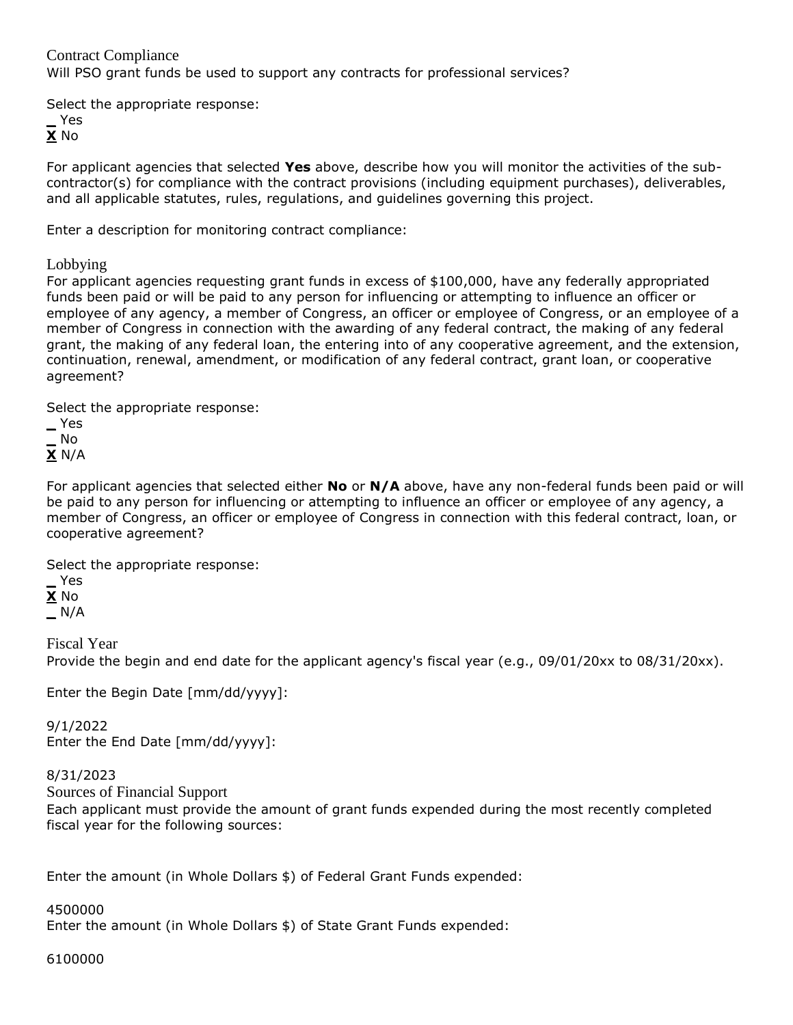Contract Compliance Will PSO grant funds be used to support any contracts for professional services?

Select the appropriate response:

**\_** Yes **X** No

For applicant agencies that selected **Yes** above, describe how you will monitor the activities of the subcontractor(s) for compliance with the contract provisions (including equipment purchases), deliverables, and all applicable statutes, rules, regulations, and guidelines governing this project.

Enter a description for monitoring contract compliance:

Lobbying

For applicant agencies requesting grant funds in excess of \$100,000, have any federally appropriated funds been paid or will be paid to any person for influencing or attempting to influence an officer or employee of any agency, a member of Congress, an officer or employee of Congress, or an employee of a member of Congress in connection with the awarding of any federal contract, the making of any federal grant, the making of any federal loan, the entering into of any cooperative agreement, and the extension, continuation, renewal, amendment, or modification of any federal contract, grant loan, or cooperative agreement?

Select the appropriate response:

**\_** Yes **\_** No **X** N/A

For applicant agencies that selected either **No** or **N/A** above, have any non-federal funds been paid or will be paid to any person for influencing or attempting to influence an officer or employee of any agency, a member of Congress, an officer or employee of Congress in connection with this federal contract, loan, or cooperative agreement?

Select the appropriate response:

**\_** Yes **X** No

**\_** N/A

Fiscal Year Provide the begin and end date for the applicant agency's fiscal year (e.g., 09/01/20xx to 08/31/20xx).

Enter the Begin Date [mm/dd/yyyy]:

9/1/2022 Enter the End Date [mm/dd/yyyy]:

8/31/2023

Sources of Financial Support

Each applicant must provide the amount of grant funds expended during the most recently completed fiscal year for the following sources:

Enter the amount (in Whole Dollars \$) of Federal Grant Funds expended:

4500000

Enter the amount (in Whole Dollars \$) of State Grant Funds expended:

6100000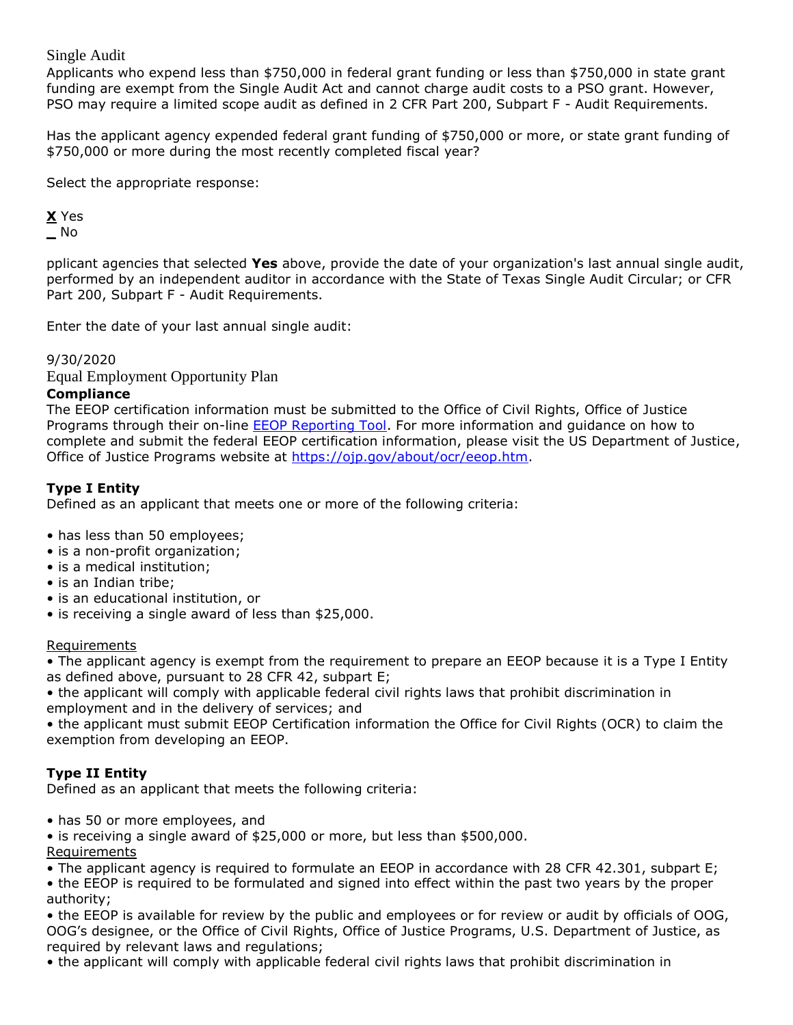# Single Audit

Applicants who expend less than \$750,000 in federal grant funding or less than \$750,000 in state grant funding are exempt from the Single Audit Act and cannot charge audit costs to a PSO grant. However, PSO may require a limited scope audit as defined in 2 CFR Part 200, Subpart F - Audit Requirements.

Has the applicant agency expended federal grant funding of \$750,000 or more, or state grant funding of \$750,000 or more during the most recently completed fiscal year?

Select the appropriate response:

# **X** Yes **\_** No

pplicant agencies that selected **Yes** above, provide the date of your organization's last annual single audit, performed by an independent auditor in accordance with the State of Texas Single Audit Circular; or CFR Part 200, Subpart F - Audit Requirements.

Enter the date of your last annual single audit:

# 9/30/2020

Equal Employment Opportunity Plan

### **Compliance**

The EEOP certification information must be submitted to the Office of Civil Rights, Office of Justice Programs through their on-line **EEOP Reporting Tool**. For more information and guidance on how to complete and submit the federal EEOP certification information, please visit the US Department of Justice, Office of Justice Programs website at [https://ojp.gov/about/ocr/eeop.htm.](https://ojp.gov/about/ocr/eeop.htm)

# **Type I Entity**

Defined as an applicant that meets one or more of the following criteria:

- has less than 50 employees;
- is a non-profit organization;
- is a medical institution;
- is an Indian tribe;
- is an educational institution, or
- is receiving a single award of less than \$25,000.

#### Requirements

• The applicant agency is exempt from the requirement to prepare an EEOP because it is a Type I Entity as defined above, pursuant to 28 CFR 42, subpart E;

• the applicant will comply with applicable federal civil rights laws that prohibit discrimination in employment and in the delivery of services; and

• the applicant must submit EEOP Certification information the Office for Civil Rights (OCR) to claim the exemption from developing an EEOP.

# **Type II Entity**

Defined as an applicant that meets the following criteria:

• has 50 or more employees, and

• is receiving a single award of \$25,000 or more, but less than \$500,000. **Requirements** 

• The applicant agency is required to formulate an EEOP in accordance with 28 CFR 42.301, subpart E;

• the EEOP is required to be formulated and signed into effect within the past two years by the proper authority;

• the EEOP is available for review by the public and employees or for review or audit by officials of OOG, OOG's designee, or the Office of Civil Rights, Office of Justice Programs, U.S. Department of Justice, as required by relevant laws and regulations;

• the applicant will comply with applicable federal civil rights laws that prohibit discrimination in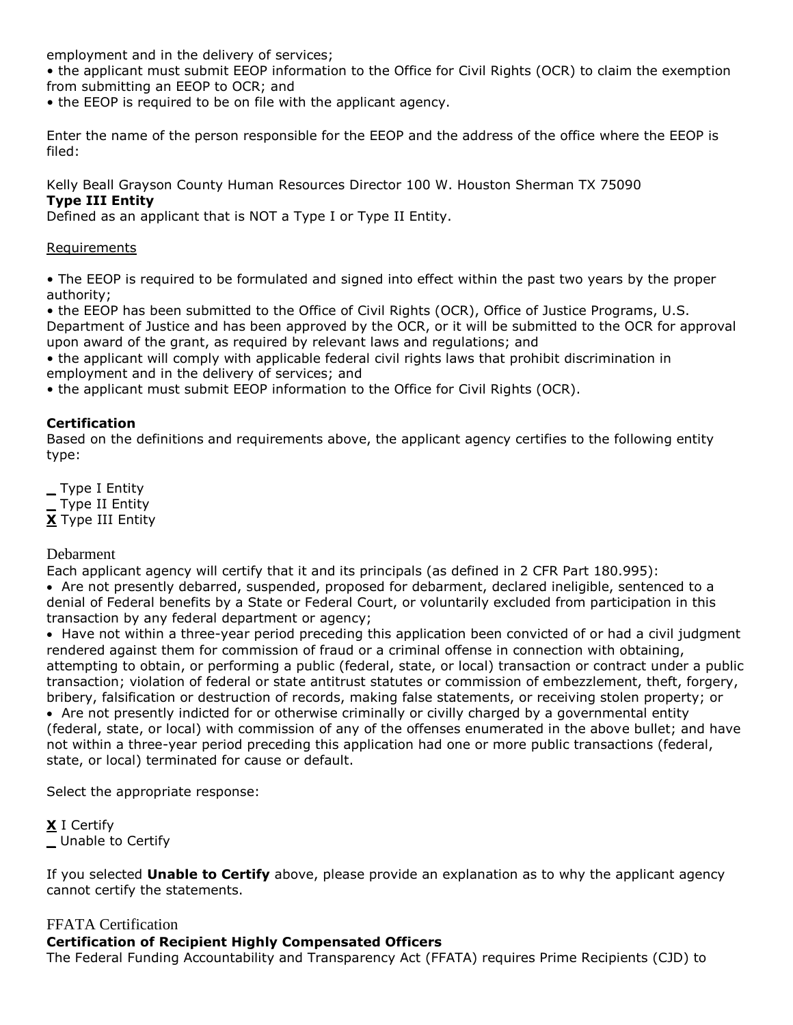employment and in the delivery of services;

• the applicant must submit EEOP information to the Office for Civil Rights (OCR) to claim the exemption from submitting an EEOP to OCR; and

• the EEOP is required to be on file with the applicant agency.

Enter the name of the person responsible for the EEOP and the address of the office where the EEOP is filed:

Kelly Beall Grayson County Human Resources Director 100 W. Houston Sherman TX 75090 **Type III Entity**

Defined as an applicant that is NOT a Type I or Type II Entity.

#### Requirements

• The EEOP is required to be formulated and signed into effect within the past two years by the proper authority;

• the EEOP has been submitted to the Office of Civil Rights (OCR), Office of Justice Programs, U.S. Department of Justice and has been approved by the OCR, or it will be submitted to the OCR for approval upon award of the grant, as required by relevant laws and regulations; and

• the applicant will comply with applicable federal civil rights laws that prohibit discrimination in employment and in the delivery of services; and

• the applicant must submit EEOP information to the Office for Civil Rights (OCR).

# **Certification**

Based on the definitions and requirements above, the applicant agency certifies to the following entity type:

**\_** Type I Entity **\_** Type II Entity **X** Type III Entity

# Debarment

Each applicant agency will certify that it and its principals (as defined in 2 CFR Part 180.995):

 Are not presently debarred, suspended, proposed for debarment, declared ineligible, sentenced to a denial of Federal benefits by a State or Federal Court, or voluntarily excluded from participation in this transaction by any federal department or agency;

• Have not within a three-year period preceding this application been convicted of or had a civil judgment rendered against them for commission of fraud or a criminal offense in connection with obtaining, attempting to obtain, or performing a public (federal, state, or local) transaction or contract under a public transaction; violation of federal or state antitrust statutes or commission of embezzlement, theft, forgery, bribery, falsification or destruction of records, making false statements, or receiving stolen property; or Are not presently indicted for or otherwise criminally or civilly charged by a governmental entity (federal, state, or local) with commission of any of the offenses enumerated in the above bullet; and have not within a three-year period preceding this application had one or more public transactions (federal, state, or local) terminated for cause or default.

Select the appropriate response:

**X** I Certify **\_** Unable to Certify

If you selected **Unable to Certify** above, please provide an explanation as to why the applicant agency cannot certify the statements.

# FFATA Certification

**Certification of Recipient Highly Compensated Officers** The Federal Funding Accountability and Transparency Act (FFATA) requires Prime Recipients (CJD) to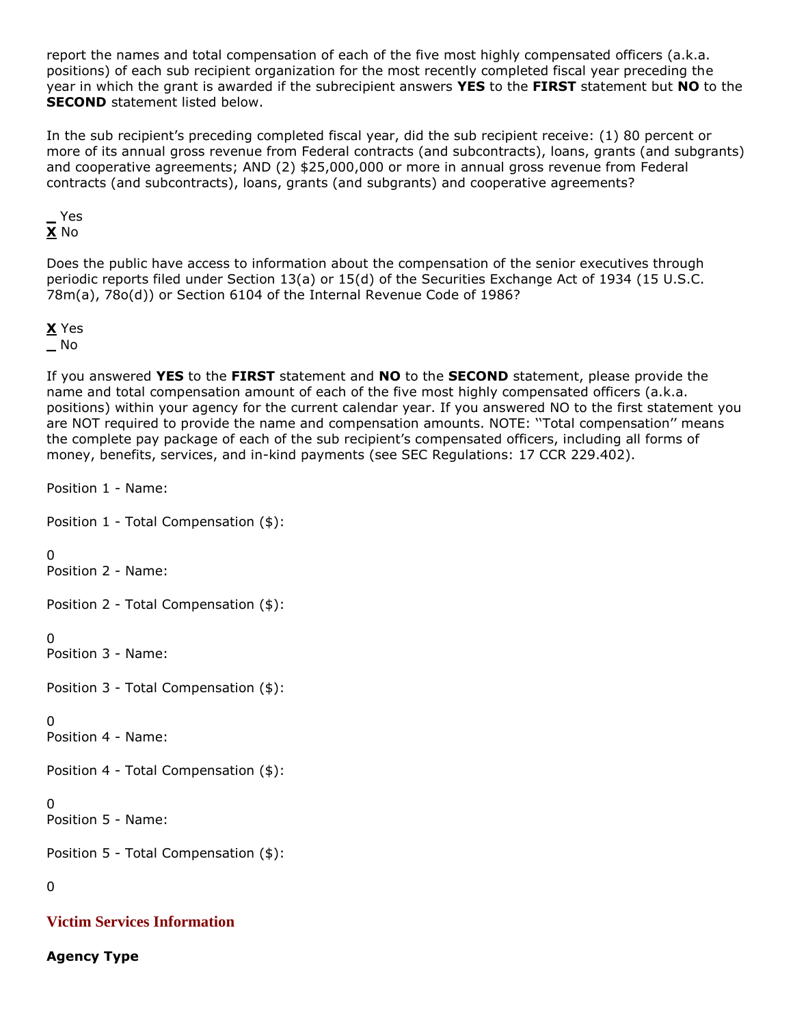report the names and total compensation of each of the five most highly compensated officers (a.k.a. positions) of each sub recipient organization for the most recently completed fiscal year preceding the year in which the grant is awarded if the subrecipient answers **YES** to the **FIRST** statement but **NO** to the **SECOND** statement listed below.

In the sub recipient's preceding completed fiscal year, did the sub recipient receive: (1) 80 percent or more of its annual gross revenue from Federal contracts (and subcontracts), loans, grants (and subgrants) and cooperative agreements; AND (2) \$25,000,000 or more in annual gross revenue from Federal contracts (and subcontracts), loans, grants (and subgrants) and cooperative agreements?

**\_** Yes **X** No

Does the public have access to information about the compensation of the senior executives through periodic reports filed under Section 13(a) or 15(d) of the Securities Exchange Act of 1934 (15 U.S.C. 78m(a), 78o(d)) or Section 6104 of the Internal Revenue Code of 1986?

# **X** Yes **\_** No

If you answered **YES** to the **FIRST** statement and **NO** to the **SECOND** statement, please provide the name and total compensation amount of each of the five most highly compensated officers (a.k.a. positions) within your agency for the current calendar year. If you answered NO to the first statement you are NOT required to provide the name and compensation amounts. NOTE: ''Total compensation'' means the complete pay package of each of the sub recipient's compensated officers, including all forms of money, benefits, services, and in-kind payments (see SEC Regulations: 17 CCR 229.402).

Position 1 - Name:

Position 1 - Total Compensation (\$):

 $\Omega$ 

Position 2 - Name:

Position 2 - Total Compensation (\$):

 $\Omega$ 

Position 3 - Name:

Position 3 - Total Compensation (\$):

# $\Omega$

Position 4 - Name:

Position 4 - Total Compensation (\$):

# $\Omega$

Position 5 - Name:

Position 5 - Total Compensation (\$):

# 0

# **Victim Services Information**

**Agency Type**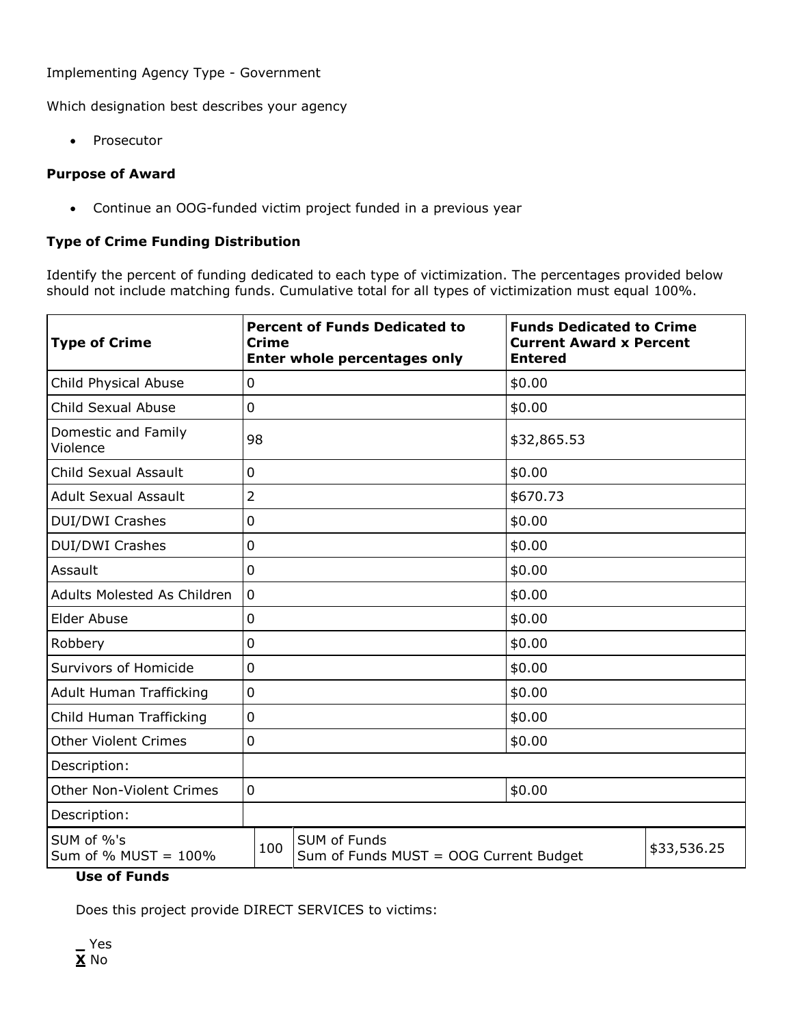### Implementing Agency Type - Government

Which designation best describes your agency

• Prosecutor

### **Purpose of Award**

Continue an OOG-funded victim project funded in a previous year

# **Type of Crime Funding Distribution**

Identify the percent of funding dedicated to each type of victimization. The percentages provided below should not include matching funds. Cumulative total for all types of victimization must equal 100%.

| <b>Type of Crime</b>                                                                                   | <b>Crime</b>   | <b>Percent of Funds Dedicated to</b><br>Enter whole percentages only | <b>Funds Dedicated to Crime</b><br><b>Current Award x Percent</b><br><b>Entered</b> |             |  |
|--------------------------------------------------------------------------------------------------------|----------------|----------------------------------------------------------------------|-------------------------------------------------------------------------------------|-------------|--|
| Child Physical Abuse                                                                                   | $\overline{0}$ |                                                                      | \$0.00                                                                              |             |  |
| Child Sexual Abuse                                                                                     | $\overline{0}$ |                                                                      | \$0.00                                                                              |             |  |
| Domestic and Family<br>Violence                                                                        | 98             |                                                                      | \$32,865.53                                                                         |             |  |
| Child Sexual Assault                                                                                   | $\mathbf 0$    |                                                                      | \$0.00                                                                              |             |  |
| <b>Adult Sexual Assault</b>                                                                            | $\overline{2}$ |                                                                      | \$670.73                                                                            |             |  |
| <b>DUI/DWI Crashes</b>                                                                                 | $\mathbf 0$    |                                                                      | \$0.00                                                                              |             |  |
| <b>DUI/DWI Crashes</b>                                                                                 | $\mathbf 0$    |                                                                      | \$0.00                                                                              |             |  |
| Assault                                                                                                | $\overline{0}$ |                                                                      | \$0.00                                                                              |             |  |
| <b>Adults Molested As Children</b>                                                                     | $\overline{0}$ |                                                                      | \$0.00                                                                              |             |  |
| Elder Abuse                                                                                            | $\mathbf 0$    |                                                                      | \$0.00                                                                              |             |  |
| Robbery                                                                                                | $\mathbf 0$    |                                                                      | \$0.00                                                                              |             |  |
| Survivors of Homicide                                                                                  | $\overline{0}$ |                                                                      | \$0.00                                                                              |             |  |
| Adult Human Trafficking                                                                                | $\mathbf 0$    |                                                                      | \$0.00                                                                              |             |  |
| Child Human Trafficking                                                                                | $\overline{0}$ |                                                                      | \$0.00                                                                              |             |  |
| <b>Other Violent Crimes</b>                                                                            | $\mathbf 0$    |                                                                      | \$0.00                                                                              |             |  |
| Description:                                                                                           |                |                                                                      |                                                                                     |             |  |
| <b>Other Non-Violent Crimes</b>                                                                        | $\overline{0}$ |                                                                      | \$0.00                                                                              |             |  |
| Description:                                                                                           |                |                                                                      |                                                                                     |             |  |
| SUM of %'s<br>SUM of Funds<br>100<br>Sum of % $MUST = 100\%$<br>Sum of Funds MUST = OOG Current Budget |                |                                                                      |                                                                                     | \$33,536.25 |  |

# **Use of Funds**

Does this project provide DIRECT SERVICES to victims:

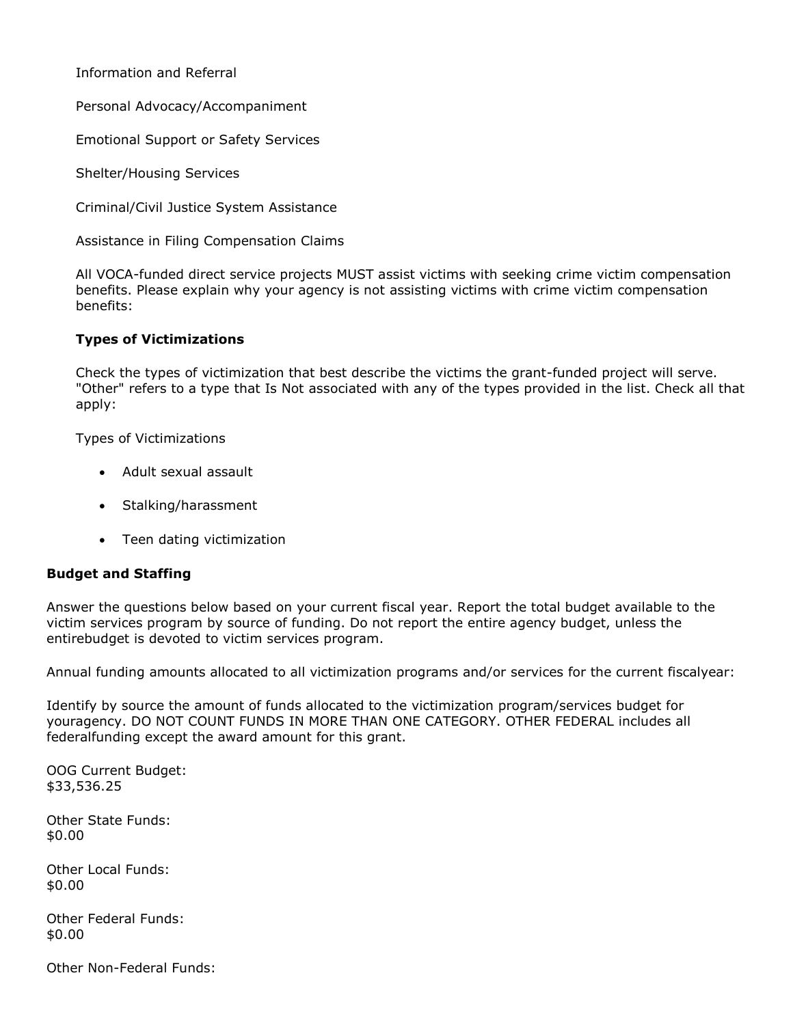Information and Referral

Personal Advocacy/Accompaniment

Emotional Support or Safety Services

Shelter/Housing Services

Criminal/Civil Justice System Assistance

Assistance in Filing Compensation Claims

All VOCA-funded direct service projects MUST assist victims with seeking crime victim compensation benefits. Please explain why your agency is not assisting victims with crime victim compensation benefits:

#### **Types of Victimizations**

Check the types of victimization that best describe the victims the grant-funded project will serve. "Other" refers to a type that Is Not associated with any of the types provided in the list. Check all that apply:

Types of Victimizations

- Adult sexual assault
- Stalking/harassment
- Teen dating victimization

#### **Budget and Staffing**

Answer the questions below based on your current fiscal year. Report the total budget available to the victim services program by source of funding. Do not report the entire agency budget, unless the entirebudget is devoted to victim services program.

Annual funding amounts allocated to all victimization programs and/or services for the current fiscalyear:

Identify by source the amount of funds allocated to the victimization program/services budget for youragency. DO NOT COUNT FUNDS IN MORE THAN ONE CATEGORY. OTHER FEDERAL includes all federalfunding except the award amount for this grant.

OOG Current Budget: \$33,536.25

Other State Funds: \$0.00

Other Local Funds: \$0.00

Other Federal Funds: \$0.00

Other Non-Federal Funds: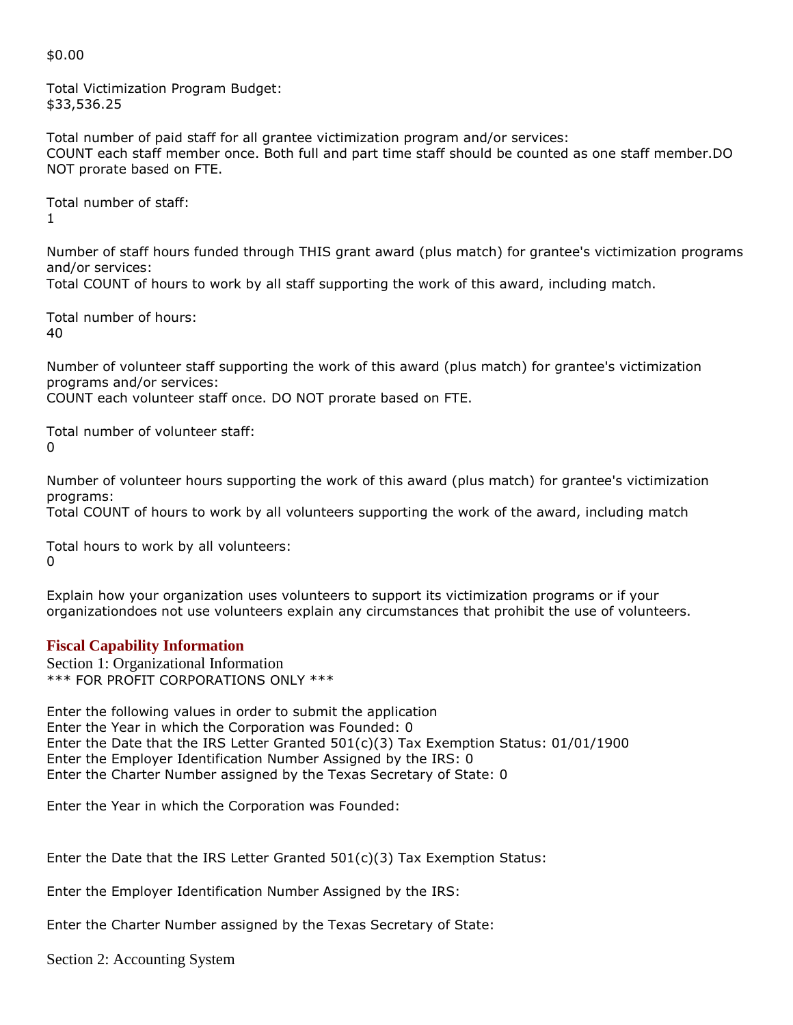#### \$0.00

Total Victimization Program Budget: \$33,536.25

Total number of paid staff for all grantee victimization program and/or services: COUNT each staff member once. Both full and part time staff should be counted as one staff member.DO NOT prorate based on FTE.

Total number of staff: 1

Number of staff hours funded through THIS grant award (plus match) for grantee's victimization programs and/or services:

Total COUNT of hours to work by all staff supporting the work of this award, including match.

Total number of hours: 40

Number of volunteer staff supporting the work of this award (plus match) for grantee's victimization programs and/or services: COUNT each volunteer staff once. DO NOT prorate based on FTE.

Total number of volunteer staff:  $\Omega$ 

Number of volunteer hours supporting the work of this award (plus match) for grantee's victimization programs:

Total COUNT of hours to work by all volunteers supporting the work of the award, including match

Total hours to work by all volunteers: 0

Explain how your organization uses volunteers to support its victimization programs or if your organizationdoes not use volunteers explain any circumstances that prohibit the use of volunteers.

# **Fiscal Capability Information**

Section 1: Organizational Information \*\*\* FOR PROFIT CORPORATIONS ONLY \*\*\*

Enter the following values in order to submit the application Enter the Year in which the Corporation was Founded: 0 Enter the Date that the IRS Letter Granted 501(c)(3) Tax Exemption Status: 01/01/1900 Enter the Employer Identification Number Assigned by the IRS: 0 Enter the Charter Number assigned by the Texas Secretary of State: 0

Enter the Year in which the Corporation was Founded:

Enter the Date that the IRS Letter Granted  $501(c)(3)$  Tax Exemption Status:

Enter the Employer Identification Number Assigned by the IRS:

Enter the Charter Number assigned by the Texas Secretary of State:

Section 2: Accounting System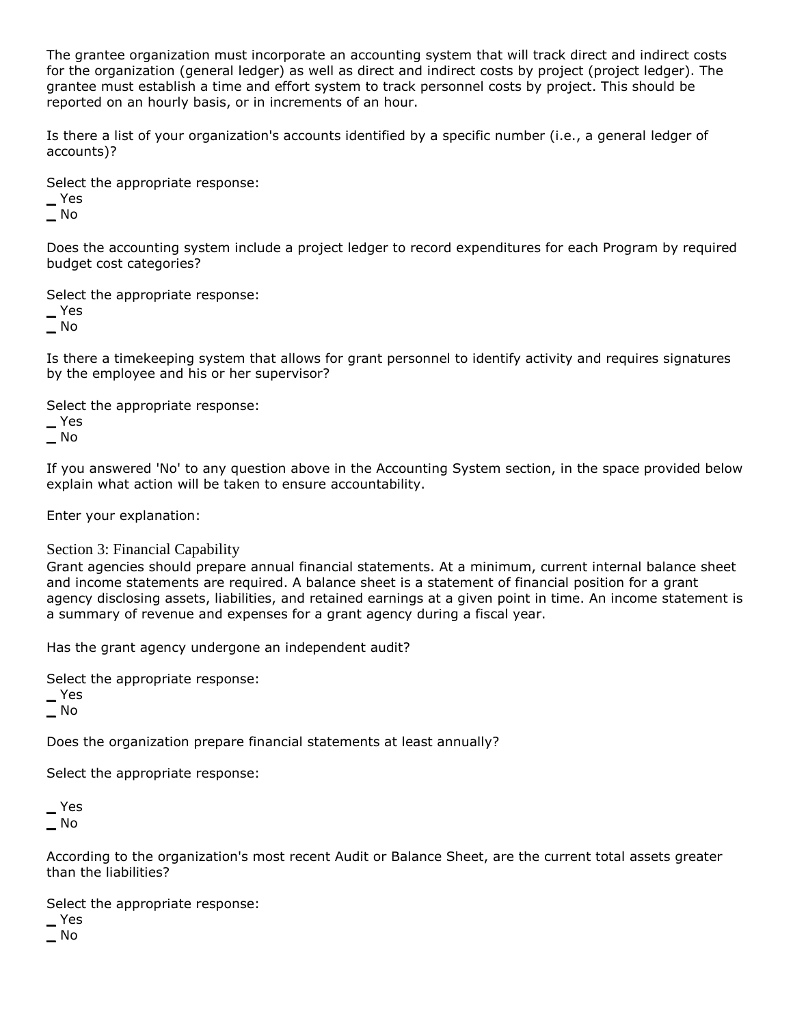The grantee organization must incorporate an accounting system that will track direct and indirect costs for the organization (general ledger) as well as direct and indirect costs by project (project ledger). The grantee must establish a time and effort system to track personnel costs by project. This should be reported on an hourly basis, or in increments of an hour.

Is there a list of your organization's accounts identified by a specific number (i.e., a general ledger of accounts)?

Select the appropriate response:

**\_** Yes

**\_** No

Does the accounting system include a project ledger to record expenditures for each Program by required budget cost categories?

Select the appropriate response:

**\_** Yes

**\_** No

Is there a timekeeping system that allows for grant personnel to identify activity and requires signatures by the employee and his or her supervisor?

Select the appropriate response:

**\_** Yes

**\_** No

If you answered 'No' to any question above in the Accounting System section, in the space provided below explain what action will be taken to ensure accountability.

Enter your explanation:

#### Section 3: Financial Capability

Grant agencies should prepare annual financial statements. At a minimum, current internal balance sheet and income statements are required. A balance sheet is a statement of financial position for a grant agency disclosing assets, liabilities, and retained earnings at a given point in time. An income statement is a summary of revenue and expenses for a grant agency during a fiscal year.

Has the grant agency undergone an independent audit?

Select the appropriate response:

**\_** Yes

**\_** No

Does the organization prepare financial statements at least annually?

Select the appropriate response:

**\_** Yes **\_** No

According to the organization's most recent Audit or Balance Sheet, are the current total assets greater than the liabilities?

Select the appropriate response:

**\_** Yes

**\_** No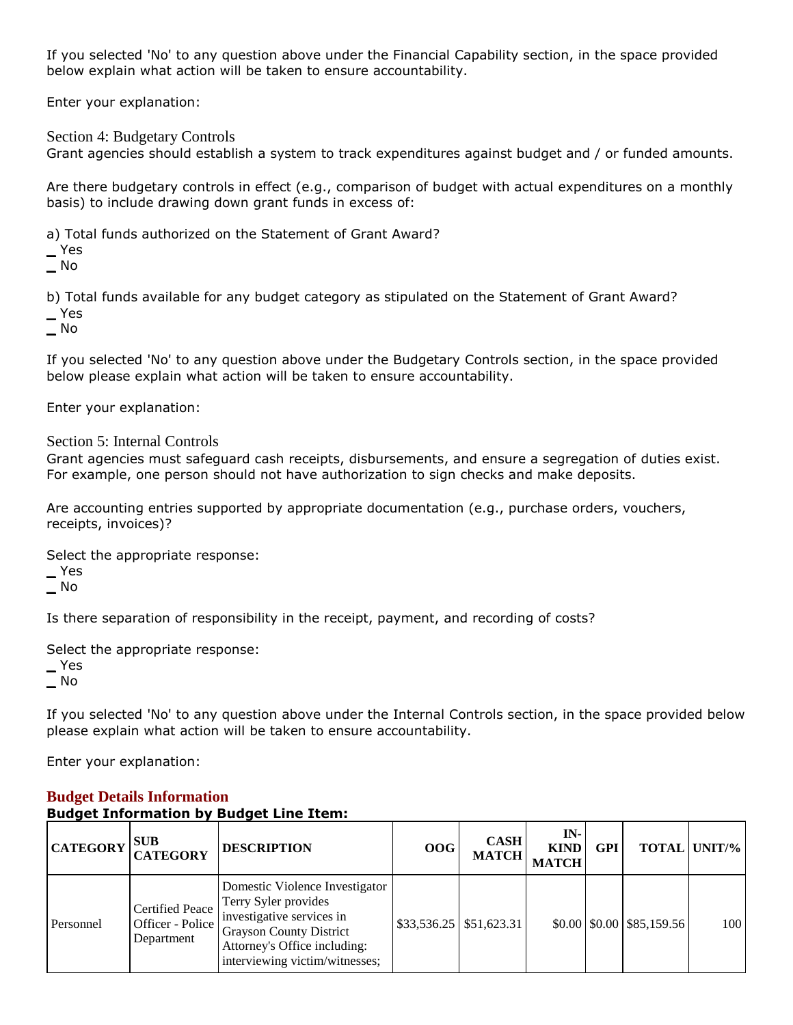If you selected 'No' to any question above under the Financial Capability section, in the space provided below explain what action will be taken to ensure accountability.

Enter your explanation:

Section 4: Budgetary Controls

Grant agencies should establish a system to track expenditures against budget and / or funded amounts.

Are there budgetary controls in effect (e.g., comparison of budget with actual expenditures on a monthly basis) to include drawing down grant funds in excess of:

a) Total funds authorized on the Statement of Grant Award?

**\_** Yes

**\_** No

b) Total funds available for any budget category as stipulated on the Statement of Grant Award?

**\_** Yes

**\_** No

If you selected 'No' to any question above under the Budgetary Controls section, in the space provided below please explain what action will be taken to ensure accountability.

Enter your explanation:

Section 5: Internal Controls

Grant agencies must safeguard cash receipts, disbursements, and ensure a segregation of duties exist. For example, one person should not have authorization to sign checks and make deposits.

Are accounting entries supported by appropriate documentation (e.g., purchase orders, vouchers, receipts, invoices)?

Select the appropriate response:

**\_** Yes

**\_** No

Is there separation of responsibility in the receipt, payment, and recording of costs?

Select the appropriate response:

**\_** Yes

**\_** No

If you selected 'No' to any question above under the Internal Controls section, in the space provided below please explain what action will be taken to ensure accountability.

Enter your explanation:

| <b>Budget Information by Budget Line Item:</b> |                                                          |                                                                                                                                                                                         |     |                             |                                      |            |                                                        |                     |
|------------------------------------------------|----------------------------------------------------------|-----------------------------------------------------------------------------------------------------------------------------------------------------------------------------------------|-----|-----------------------------|--------------------------------------|------------|--------------------------------------------------------|---------------------|
| <b>CATEGORY</b>                                | <b>SUB</b><br><b>CATEGORY</b>                            | <b>DESCRIPTION</b>                                                                                                                                                                      | 00G | <b>CASH</b><br><b>MATCH</b> | $IN-$<br><b>KIND</b><br><b>MATCH</b> | <b>GPI</b> |                                                        | <b>TOTAL UNIT/%</b> |
| Personnel                                      | <b>Certified Peace</b><br>Officer - Police<br>Department | Domestic Violence Investigator<br>Terry Syler provides<br>investigative services in<br><b>Grayson County District</b><br>Attorney's Office including:<br>interviewing victim/witnesses; |     | $$33,536.25$ $$51,623.31$   |                                      |            | $$0.00 \, \text{]} \, $0.00 \, \text{]} \, $85,159.56$ | 100                 |

#### **Budget Details Information Budget Information by Budget Line Item:**